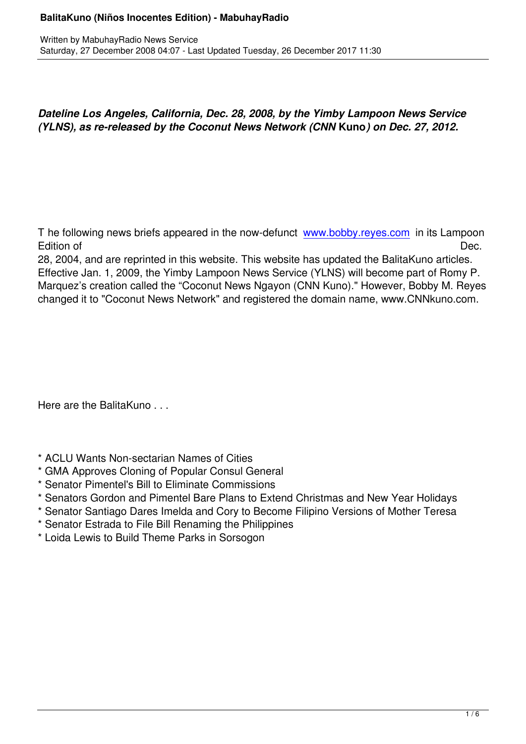*Dateline Los Angeles, California, Dec. 28, 2008, by the Yimby Lampoon News Service (YLNS), as re-released by the Coconut News Network (CNN* **Kuno***) on Dec. 27, 2012.*

T he following news briefs appeared in the now-defunct www.bobby.reyes.com in its Lampoon Edition of Dec.

28, 2004, and are reprinted in this website. This website has updated the BalitaKuno articles. Effective Jan. 1, 2009, the Yimby Lampoon News Servic[e \(YLNS\) will become p](http://www.bobby.reyes.com/)art of Romy P. Marquez's creation called the "Coconut News Ngayon (CNN Kuno)." However, Bobby M. Reyes changed it to "Coconut News Network" and registered the domain name, www.CNNkuno.com.

Here are the BalitaKuno . . .

Written by MabuhayRadio News Service and American problems in the News Service and American problems in the News Service and American problems in the News Service and American problems in the News Service and American prob

- \* ACLU Wants Non-sectarian Names of Cities
- \* GMA Approves Cloning of Popular Consul General
- \* Senator Pimentel's Bill to Eliminate Commissions
- \* Senators Gordon and Pimentel Bare Plans to Extend Christmas and New Year Holidays
- \* Senator Santiago Dares Imelda and Cory to Become Filipino Versions of Mother Teresa
- \* Senator Estrada to File Bill Renaming the Philippines
- \* Loida Lewis to Build Theme Parks in Sorsogon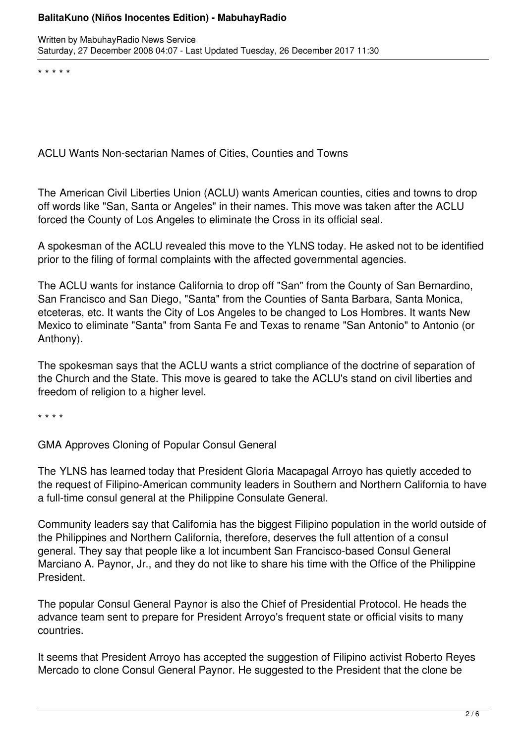\* \* \* \* \*

ACLU Wants Non-sectarian Names of Cities, Counties and Towns

The American Civil Liberties Union (ACLU) wants American counties, cities and towns to drop off words like "San, Santa or Angeles" in their names. This move was taken after the ACLU forced the County of Los Angeles to eliminate the Cross in its official seal.

A spokesman of the ACLU revealed this move to the YLNS today. He asked not to be identified prior to the filing of formal complaints with the affected governmental agencies.

The ACLU wants for instance California to drop off "San" from the County of San Bernardino, San Francisco and San Diego, "Santa" from the Counties of Santa Barbara, Santa Monica, etceteras, etc. It wants the City of Los Angeles to be changed to Los Hombres. It wants New Mexico to eliminate "Santa" from Santa Fe and Texas to rename "San Antonio" to Antonio (or Anthony).

The spokesman says that the ACLU wants a strict compliance of the doctrine of separation of the Church and the State. This move is geared to take the ACLU's stand on civil liberties and freedom of religion to a higher level.

\* \* \* \*

GMA Approves Cloning of Popular Consul General

The YLNS has learned today that President Gloria Macapagal Arroyo has quietly acceded to the request of Filipino-American community leaders in Southern and Northern California to have a full-time consul general at the Philippine Consulate General.

Community leaders say that California has the biggest Filipino population in the world outside of the Philippines and Northern California, therefore, deserves the full attention of a consul general. They say that people like a lot incumbent San Francisco-based Consul General Marciano A. Paynor, Jr., and they do not like to share his time with the Office of the Philippine President.

The popular Consul General Paynor is also the Chief of Presidential Protocol. He heads the advance team sent to prepare for President Arrovo's frequent state or official visits to many countries.

It seems that President Arroyo has accepted the suggestion of Filipino activist Roberto Reyes Mercado to clone Consul General Paynor. He suggested to the President that the clone be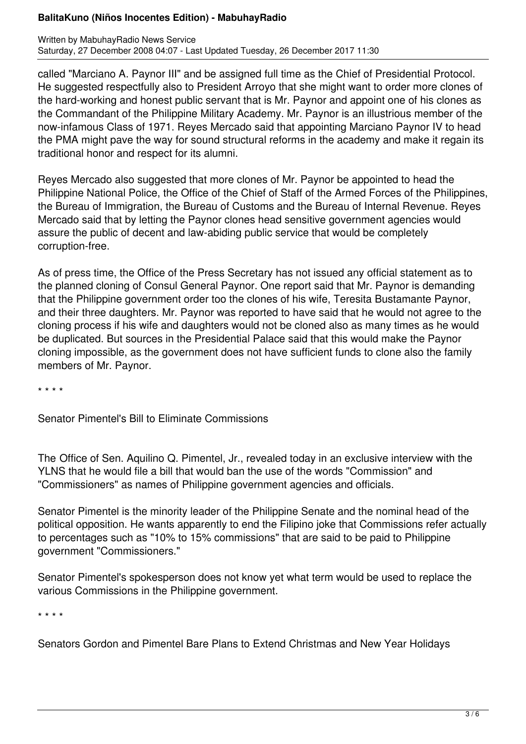called "Marciano A. Paynor III" and be assigned full time as the Chief of Presidential Protocol. He suggested respectfully also to President Arroyo that she might want to order more clones of the hard-working and honest public servant that is Mr. Paynor and appoint one of his clones as the Commandant of the Philippine Military Academy. Mr. Paynor is an illustrious member of the now-infamous Class of 1971. Reyes Mercado said that appointing Marciano Paynor IV to head the PMA might pave the way for sound structural reforms in the academy and make it regain its traditional honor and respect for its alumni.

Reyes Mercado also suggested that more clones of Mr. Paynor be appointed to head the Philippine National Police, the Office of the Chief of Staff of the Armed Forces of the Philippines, the Bureau of Immigration, the Bureau of Customs and the Bureau of Internal Revenue. Reyes Mercado said that by letting the Paynor clones head sensitive government agencies would assure the public of decent and law-abiding public service that would be completely corruption-free.

As of press time, the Office of the Press Secretary has not issued any official statement as to the planned cloning of Consul General Paynor. One report said that Mr. Paynor is demanding that the Philippine government order too the clones of his wife, Teresita Bustamante Paynor, and their three daughters. Mr. Paynor was reported to have said that he would not agree to the cloning process if his wife and daughters would not be cloned also as many times as he would be duplicated. But sources in the Presidential Palace said that this would make the Paynor cloning impossible, as the government does not have sufficient funds to clone also the family members of Mr. Paynor.

\* \* \* \*

Senator Pimentel's Bill to Eliminate Commissions

The Office of Sen. Aquilino Q. Pimentel, Jr., revealed today in an exclusive interview with the YLNS that he would file a bill that would ban the use of the words "Commission" and "Commissioners" as names of Philippine government agencies and officials.

Senator Pimentel is the minority leader of the Philippine Senate and the nominal head of the political opposition. He wants apparently to end the Filipino joke that Commissions refer actually to percentages such as "10% to 15% commissions" that are said to be paid to Philippine government "Commissioners."

Senator Pimentel's spokesperson does not know yet what term would be used to replace the various Commissions in the Philippine government.

\* \* \* \*

Senators Gordon and Pimentel Bare Plans to Extend Christmas and New Year Holidays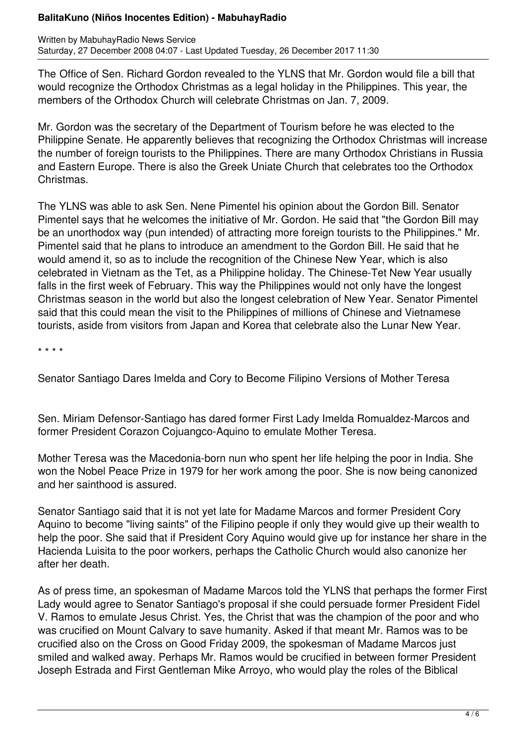The Office of Sen. Richard Gordon revealed to the YLNS that Mr. Gordon would file a bill that would recognize the Orthodox Christmas as a legal holiday in the Philippines. This year, the members of the Orthodox Church will celebrate Christmas on Jan. 7, 2009.

Mr. Gordon was the secretary of the Department of Tourism before he was elected to the Philippine Senate. He apparently believes that recognizing the Orthodox Christmas will increase the number of foreign tourists to the Philippines. There are many Orthodox Christians in Russia and Eastern Europe. There is also the Greek Uniate Church that celebrates too the Orthodox Christmas.

The YLNS was able to ask Sen. Nene Pimentel his opinion about the Gordon Bill. Senator Pimentel says that he welcomes the initiative of Mr. Gordon. He said that "the Gordon Bill may be an unorthodox way (pun intended) of attracting more foreign tourists to the Philippines." Mr. Pimentel said that he plans to introduce an amendment to the Gordon Bill. He said that he would amend it, so as to include the recognition of the Chinese New Year, which is also celebrated in Vietnam as the Tet, as a Philippine holiday. The Chinese-Tet New Year usually falls in the first week of February. This way the Philippines would not only have the longest Christmas season in the world but also the longest celebration of New Year. Senator Pimentel said that this could mean the visit to the Philippines of millions of Chinese and Vietnamese tourists, aside from visitors from Japan and Korea that celebrate also the Lunar New Year.

\* \* \* \*

Senator Santiago Dares Imelda and Cory to Become Filipino Versions of Mother Teresa

Sen. Miriam Defensor-Santiago has dared former First Lady Imelda Romualdez-Marcos and former President Corazon Cojuangco-Aquino to emulate Mother Teresa.

Mother Teresa was the Macedonia-born nun who spent her life helping the poor in India. She won the Nobel Peace Prize in 1979 for her work among the poor. She is now being canonized and her sainthood is assured.

Senator Santiago said that it is not yet late for Madame Marcos and former President Cory Aquino to become "living saints" of the Filipino people if only they would give up their wealth to help the poor. She said that if President Cory Aquino would give up for instance her share in the Hacienda Luisita to the poor workers, perhaps the Catholic Church would also canonize her after her death.

As of press time, an spokesman of Madame Marcos told the YLNS that perhaps the former First Lady would agree to Senator Santiago's proposal if she could persuade former President Fidel V. Ramos to emulate Jesus Christ. Yes, the Christ that was the champion of the poor and who was crucified on Mount Calvary to save humanity. Asked if that meant Mr. Ramos was to be crucified also on the Cross on Good Friday 2009, the spokesman of Madame Marcos just smiled and walked away. Perhaps Mr. Ramos would be crucified in between former President Joseph Estrada and First Gentleman Mike Arroyo, who would play the roles of the Biblical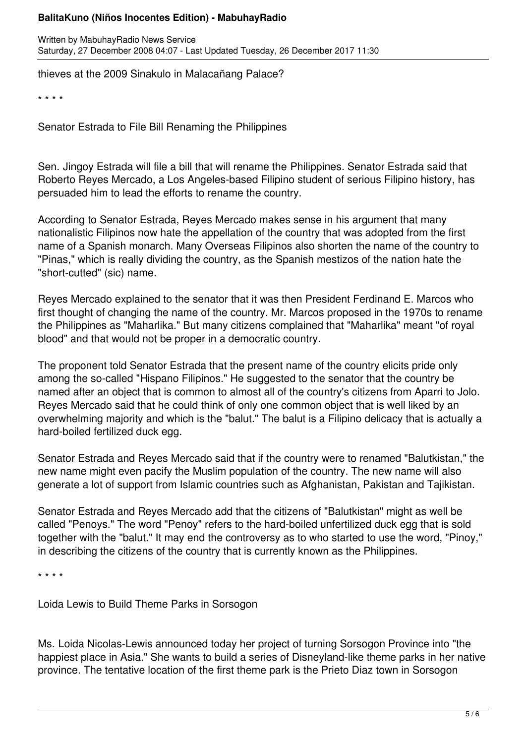Written by MabuhayRadio News Service Saturday, 27 December 2008 04:07 - Last Updated Tuesday, 26 December 2017 11:30

thieves at the 2009 Sinakulo in Malacañang Palace?

\* \* \* \*

Senator Estrada to File Bill Renaming the Philippines

Sen. Jingoy Estrada will file a bill that will rename the Philippines. Senator Estrada said that Roberto Reyes Mercado, a Los Angeles-based Filipino student of serious Filipino history, has persuaded him to lead the efforts to rename the country.

According to Senator Estrada, Reyes Mercado makes sense in his argument that many nationalistic Filipinos now hate the appellation of the country that was adopted from the first name of a Spanish monarch. Many Overseas Filipinos also shorten the name of the country to "Pinas," which is really dividing the country, as the Spanish mestizos of the nation hate the "short-cutted" (sic) name.

Reyes Mercado explained to the senator that it was then President Ferdinand E. Marcos who first thought of changing the name of the country. Mr. Marcos proposed in the 1970s to rename the Philippines as "Maharlika." But many citizens complained that "Maharlika" meant "of royal blood" and that would not be proper in a democratic country.

The proponent told Senator Estrada that the present name of the country elicits pride only among the so-called "Hispano Filipinos." He suggested to the senator that the country be named after an object that is common to almost all of the country's citizens from Aparri to Jolo. Reyes Mercado said that he could think of only one common object that is well liked by an overwhelming majority and which is the "balut." The balut is a Filipino delicacy that is actually a hard-boiled fertilized duck egg.

Senator Estrada and Reyes Mercado said that if the country were to renamed "Balutkistan," the new name might even pacify the Muslim population of the country. The new name will also generate a lot of support from Islamic countries such as Afghanistan, Pakistan and Tajikistan.

Senator Estrada and Reyes Mercado add that the citizens of "Balutkistan" might as well be called "Penoys." The word "Penoy" refers to the hard-boiled unfertilized duck egg that is sold together with the "balut." It may end the controversy as to who started to use the word, "Pinoy," in describing the citizens of the country that is currently known as the Philippines.

\* \* \* \*

Loida Lewis to Build Theme Parks in Sorsogon

Ms. Loida Nicolas-Lewis announced today her project of turning Sorsogon Province into "the happiest place in Asia." She wants to build a series of Disneyland-like theme parks in her native province. The tentative location of the first theme park is the Prieto Diaz town in Sorsogon